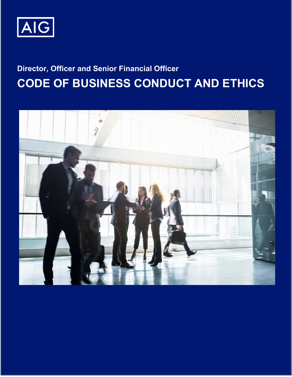

# **Director, Officer and Senior Financial Officer CODE OF BUSINESS CONDUCT AND ETHICS**

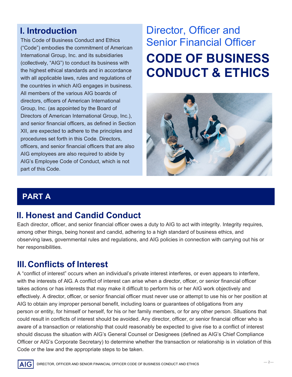# **I. Introduction**

This Code of Business Conduct and Ethics ("Code") embodies the commitment of American International Group, Inc. and its subsidiaries (collectively, "AIG") to conduct its business with the highest ethical standards and in accordance with all applicable laws, rules and regulations of the countries in which AIG engages in business. All members of the various AIG boards of directors, officers of American International Group, Inc. (as appointed by the Board of Directors of American International Group, Inc.), and senior financial officers, as defined in Section XII, are expected to adhere to the principles and procedures set forth in this Code. Directors, officers, and senior financial officers that are also AIG employees are also required to abide by AIG's Employee Code of Conduct, which is not part of this Code.

# **CODE OF BUSINESS CONDUCT & ETHICS** Director, Officer and Senior Financial Officer



# **PART A**

# **II. Honest and Candid Conduct**

Each director, officer, and senior financial officer owes a duty to AIG to act with integrity. Integrity requires, among other things, being honest and candid, adhering to a high standard of business ethics, and observing laws, governmental rules and regulations, and AIG policies in connection with carrying out his or her responsibilities.

## **III.Conflicts of Interest**

A "conflict of interest" occurs when an individual's private interest interferes, or even appears to interfere, with the interests of AIG. A conflict of interest can arise when a director, officer, or senior financial officer takes actions or has interests that may make it difficult to perform his or her AIG work objectively and effectively. A director, officer, or senior financial officer must never use or attempt to use his or her position at AIG to obtain any improper personal benefit, including loans or guarantees of obligations from any person or entity, for himself or herself, for his or her family members, or for any other person. Situations that could result in conflicts of interest should be avoided. Any director, officer, or senior financial officer who is aware of a transaction or relationship that could reasonably be expected to give rise to a conflict of interest should discuss the situation with AIG's General Counsel or Designees (defined as AIG's Chief Compliance Officer or AIG's Corporate Secretary) to determine whether the transaction or relationship is in violation of this Code or the law and the appropriate steps to be taken.

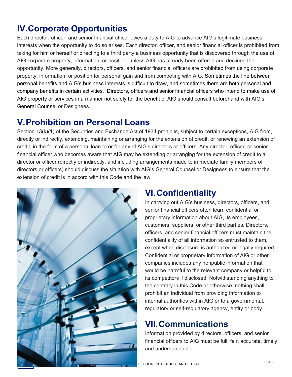## **IV.Corporate Opportunities**

Each director, officer, and senior financial officer owes a duty to AIG to advance AIG's legitimate business interests when the opportunity to do so arises. Each director, officer, and senior financial officer is prohibited from taking for him or herself or directing to a third party a business opportunity that is discovered through the use of AIG corporate property, information, or position, unless AIG has already been offered and declined the opportunity. More generally, directors, officers, and senior financial officers are prohibited from using corporate property, information, or position for personal gain and from competing with AIG. Sometimes the line between personal benefits and AIG's business interests is difficult to draw, and sometimes there are both personal and company benefits in certain activities. Directors, officers and senior financial officers who intend to make use of AIG property or services in a manner not solely for the benefit of AIG should consult beforehand with AIG's General Counsel or Designees.

#### **V. Prohibition on Personal Loans**

Section 13(k)(1) of the Securities and Exchange Act of 1934 prohibits, subject to certain exceptions, AIG from, directly or indirectly, extending, maintaining or arranging for the extension of credit, or renewing an extension of credit, in the form of a personal loan to or for any of AIG's directors or officers. Any director, officer, or senior financial officer who becomes aware that AIG may be extending or arranging for the extension of credit to a director or officer (directly or indirectly, and including arrangements made to immediate family members of directors or officers) should discuss the situation with AIG's General Counsel or Designees to ensure that the extension of credit is in accord with this Code and the law.



## **VI.Confidentiality**

In carrying out AIG's business, directors, officers, and senior financial officers often learn confidential or proprietary information about AIG, its employees, customers, suppliers, or other third parties. Directors, officers, and senior financial officers must maintain the confidentiality of all information so entrusted to them, except when disclosure is authorized or legally required. Confidential or proprietary information of AIG or other companies includes any nonpublic information that would be harmful to the relevant company or helpful to its competitors if disclosed. Notwithstanding anything to the contrary in this Code or otherwise, nothing shall prohibit an individual from providing information to internal authorities within AIG or to a governmental, regulatory or self-regulatory agency, entity or body.

# **VII.Communications**

Information provided by directors, officers, and senior financial officers to AIG must be full, fair, accurate, timely, and understandable.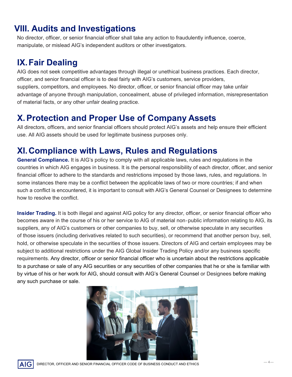#### **VIII. Audits and Investigations**

No director, officer, or senior financial officer shall take any action to fraudulently influence, coerce, manipulate, or mislead AIG's independent auditors or other investigators.

#### **IX.Fair Dealing**

AIG does not seek competitive advantages through illegal or unethical business practices. Each director, officer, and senior financial officer is to deal fairly with AIG's customers, service providers, suppliers, competitors, and employees. No director, officer, or senior financial officer may take unfair advantage of anyone through manipulation, concealment, abuse of privileged information, misrepresentation of material facts, or any other unfair dealing practice.

## **X. Protection and Proper Use of Company Assets**

All directors, officers, and senior financial officers should protect AIG's assets and help ensure their efficient use. All AIG assets should be used for legitimate business purposes only.

## **XI.Compliance with Laws, Rules and Regulations**

**General Compliance.** It is AIG's policy to comply with all applicable laws, rules and regulations in the countries in which AIG engages in business. It is the personal responsibility of each director, officer, and senior financial officer to adhere to the standards and restrictions imposed by those laws, rules, and regulations. In some instances there may be a conflict between the applicable laws of two or more countries; if and when such a conflict is encountered, it is important to consult with AIG's General Counsel or Designees to determine how to resolve the conflict.

**Insider Trading.** It is both illegal and against AIG policy for any director, officer, or senior financial officer who becomes aware in the course of his or her service to AIG of material non‐public information relating to AIG, its suppliers, any of AIG's customers or other companies to buy, sell, or otherwise speculate in any securities of those issuers (including derivatives related to such securities), or recommend that another person buy, sell, hold, or otherwise speculate in the securities of those issuers. Directors of AIG and certain employees may be subject to additional restrictions under the AIG Global Insider Trading Policy and/or any business specific requirements. Any director, officer or senior financial officer who is uncertain about the restrictions applicable to a purchase or sale of any AIG securities or any securities of other companies that he or she is familiar with by virtue of his or her work for AIG, should consult with AIG's General Counsel or Designees before making any such purchase or sale.



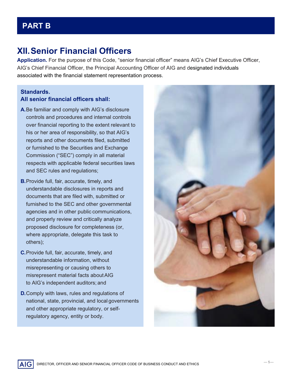#### **PART B**

#### **XII.Senior Financial Officers**

**Application.** For the purpose of this Code, "senior financial officer" means AIG's Chief Executive Officer, AIG's Chief Financial Officer, the Principal Accounting Officer of AIG and designated individuals associated with the financial statement representation process.

#### **Standards. All senior financial officers shall:**

- **A.**Be familiar and comply with AIG's disclosure controls and procedures and internal controls over financial reporting to the extent relevant to his or her area of responsibility, so that AIG's reports and other documents filed, submitted or furnished to the Securities and Exchange Commission ("SEC") comply in all material respects with applicable federal securities laws and SEC rules and regulations;
- **B.**Provide full, fair, accurate, timely, and understandable disclosures in reports and documents that are filed with, submitted or furnished to the SEC and other governmental agencies and in other public communications, and properly review and critically analyze proposed disclosure for completeness (or, where appropriate, delegate this task to others);
- **C.**Provide full, fair, accurate, timely, and understandable information, without misrepresenting or causing others to misrepresent material facts aboutAIG to AIG's independent auditors; and

AIG

**D.**Comply with laws, rules and regulations of national, state, provincial, and local governments and other appropriate regulatory, or selfregulatory agency, entity or body.